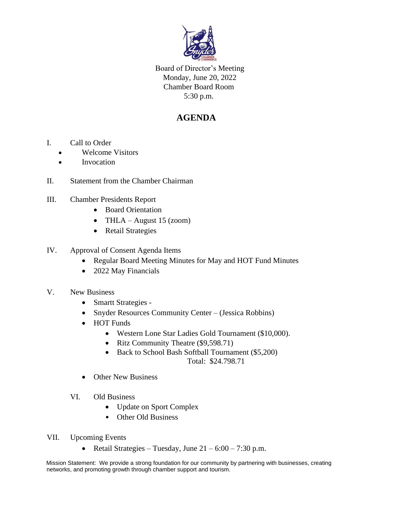

Board of Director's Meeting Monday, June 20, 2022 Chamber Board Room 5:30 p.m.

## **AGENDA**

- I. Call to Order
	- Welcome Visitors
	- Invocation
- II. Statement from the Chamber Chairman
- III. Chamber Presidents Report
	- Board Orientation
	- THLA August 15 (zoom)
	- Retail Strategies
- IV. Approval of Consent Agenda Items
	- Regular Board Meeting Minutes for May and HOT Fund Minutes
	- 2022 May Financials
- V. New Business
	- Smartt Strategies -
	- Snyder Resources Community Center (Jessica Robbins)
	- HOT Funds
		- Western Lone Star Ladies Gold Tournament (\$10,000).
		- Ritz Community Theatre (\$9,598.71)
		- Back to School Bash Softball Tournament (\$5,200) Total: \$24.798.71
	- Other New Business
	- VI. Old Business
		- Update on Sport Complex
		- Other Old Business
- VII. Upcoming Events
	- Retail Strategies Tuesday, June  $21 6:00 7:30$  p.m.

Mission Statement: We provide a strong foundation for our community by partnering with businesses, creating networks, and promoting growth through chamber support and tourism.